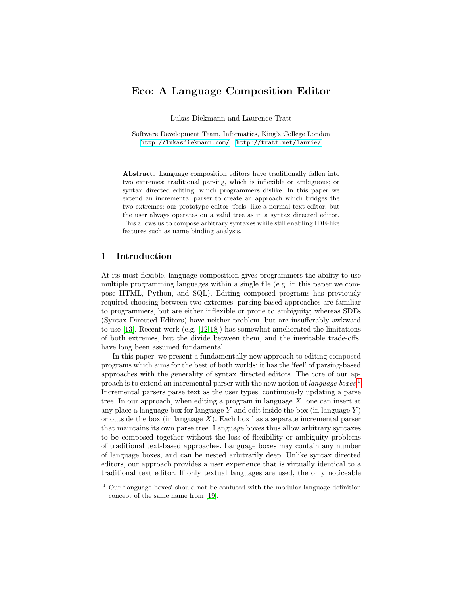# Eco: A Language Composition Editor

Lukas Diekmann and Laurence Tratt

Software Development Team, Informatics, King's College London <http://lukasdiekmann.com/><http://tratt.net/laurie/>

Abstract. Language composition editors have traditionally fallen into two extremes: traditional parsing, which is inflexible or ambiguous; or syntax directed editing, which programmers dislike. In this paper we extend an incremental parser to create an approach which bridges the two extremes: our prototype editor 'feels' like a normal text editor, but the user always operates on a valid tree as in a syntax directed editor. This allows us to compose arbitrary syntaxes while still enabling IDE-like features such as name binding analysis.

# 1 Introduction

At its most flexible, language composition gives programmers the ability to use multiple programming languages within a single file (e.g. in this paper we compose HTML, Python, and SQL). Editing composed programs has previously required choosing between two extremes: parsing-based approaches are familiar to programmers, but are either inflexible or prone to ambiguity; whereas SDEs (Syntax Directed Editors) have neither problem, but are insufferably awkward to use [\[13\]](#page-19-0). Recent work (e.g. [\[12,](#page-19-1)[18\]](#page-19-2)) has somewhat ameliorated the limitations of both extremes, but the divide between them, and the inevitable trade-offs, have long been assumed fundamental.

In this paper, we present a fundamentally new approach to editing composed programs which aims for the best of both worlds: it has the 'feel' of parsing-based approaches with the generality of syntax directed editors. The core of our ap-proach is to extend an incremental parser with the new notion of language boxes.<sup>[1](#page-0-0)</sup> Incremental parsers parse text as the user types, continuously updating a parse tree. In our approach, when editing a program in language  $X$ , one can insert at any place a language box for language Y and edit inside the box (in language Y) or outside the box (in language  $X$ ). Each box has a separate incremental parser that maintains its own parse tree. Language boxes thus allow arbitrary syntaxes to be composed together without the loss of flexibility or ambiguity problems of traditional text-based approaches. Language boxes may contain any number of language boxes, and can be nested arbitrarily deep. Unlike syntax directed editors, our approach provides a user experience that is virtually identical to a traditional text editor. If only textual languages are used, the only noticeable

<span id="page-0-0"></span> $1$  Our 'language boxes' should not be confused with the modular language definition concept of the same name from [\[19\]](#page-19-3).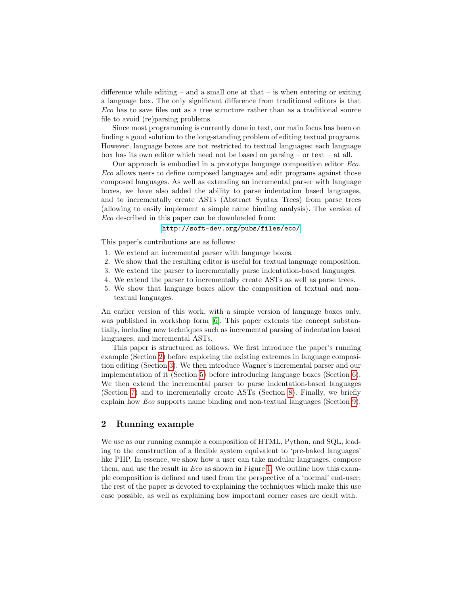difference while editing – and a small one at that – is when entering or exiting a language box. The only significant difference from traditional editors is that Eco has to save files out as a tree structure rather than as a traditional source file to avoid (re)parsing problems.

Since most programming is currently done in text, our main focus has been on finding a good solution to the long-standing problem of editing textual programs. However, language boxes are not restricted to textual languages: each language box has its own editor which need not be based on parsing  $-$  or text  $-$  at all.

Our approach is embodied in a prototype language composition editor Eco. Eco allows users to define composed languages and edit programs against those composed languages. As well as extending an incremental parser with language boxes, we have also added the ability to parse indentation based languages, and to incrementally create ASTs (Abstract Syntax Trees) from parse trees (allowing to easily implement a simple name binding analysis). The version of Eco described in this paper can be downloaded from:

### <http://soft-dev.org/pubs/files/eco/>

This paper's contributions are as follows:

- 1. We extend an incremental parser with language boxes.
- 2. We show that the resulting editor is useful for textual language composition.
- 3. We extend the parser to incrementally parse indentation-based languages.
- 4. We extend the parser to incrementally create ASTs as well as parse trees.
- 5. We show that language boxes allow the composition of textual and nontextual languages.

An earlier version of this work, with a simple version of language boxes only, was published in workshop form [\[6\]](#page-19-4). This paper extends the concept substantially, including new techniques such as incremental parsing of indentation based languages, and incremental ASTs.

This paper is structured as follows. We first introduce the paper's running example (Section [2\)](#page-1-0) before exploring the existing extremes in language composition editing (Section [3\)](#page-5-0). We then introduce Wagner's incremental parser and our implementation of it (Section [5\)](#page-7-0) before introducing language boxes (Section [6\)](#page-9-0). We then extend the incremental parser to parse indentation-based languages (Section [7\)](#page-12-0) and to incrementally create ASTs (Section [8\)](#page-14-0). Finally, we briefly explain how Eco supports name binding and non-textual languages (Section [9\)](#page-17-0).

# <span id="page-1-0"></span>2 Running example

We use as our running example a composition of HTML, Python, and SQL, leading to the construction of a flexible system equivalent to 'pre-baked languages' like PHP. In essence, we show how a user can take modular languages, compose them, and use the result in Eco as shown in Figure [1.](#page-2-0) We outline how this example composition is defined and used from the perspective of a 'normal' end-user; the rest of the paper is devoted to explaining the techniques which make this use case possible, as well as explaining how important corner cases are dealt with.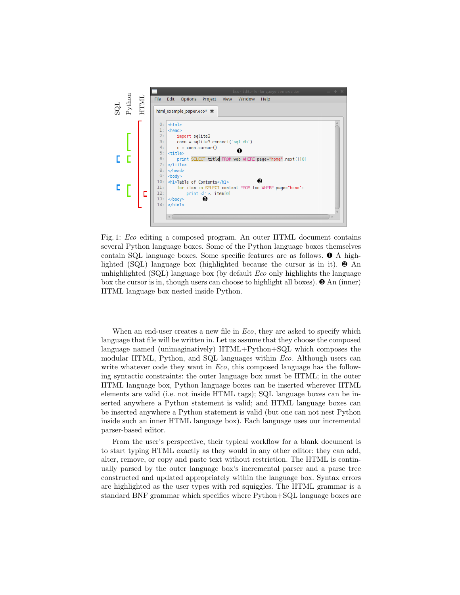<span id="page-2-0"></span>

Fig. 1: Eco editing a composed program. An outer HTML document contains several Python language boxes. Some of the Python language boxes themselves contain SQL language boxes. Some specific features are as follows. ❶ A highlighted (SQL) language box (highlighted because the cursor is in it). ❷ An unhighlighted  $(SQL)$  language box (by default  $Eco$  only highlights the language box the cursor is in, though users can choose to highlight all boxes).  $\bigotimes$  An (inner) HTML language box nested inside Python.

When an end-user creates a new file in Eco, they are asked to specify which language that file will be written in. Let us assume that they choose the composed language named (unimaginatively) HTML+Python+SQL which composes the modular HTML, Python, and SQL languages within Eco. Although users can write whatever code they want in Eco, this composed language has the following syntactic constraints: the outer language box must be HTML; in the outer HTML language box, Python language boxes can be inserted wherever HTML elements are valid (i.e. not inside HTML tags); SQL language boxes can be inserted anywhere a Python statement is valid; and HTML language boxes can be inserted anywhere a Python statement is valid (but one can not nest Python inside such an inner HTML language box). Each language uses our incremental parser-based editor.

From the user's perspective, their typical workflow for a blank document is to start typing HTML exactly as they would in any other editor: they can add, alter, remove, or copy and paste text without restriction. The HTML is continually parsed by the outer language box's incremental parser and a parse tree constructed and updated appropriately within the language box. Syntax errors are highlighted as the user types with red squiggles. The HTML grammar is a standard BNF grammar which specifies where Python+SQL language boxes are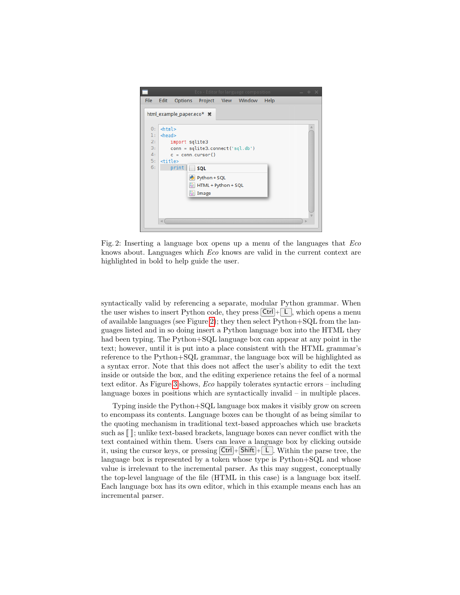<span id="page-3-0"></span>

Fig. 2: Inserting a language box opens up a menu of the languages that Eco knows about. Languages which Eco knows are valid in the current context are highlighted in bold to help guide the user.

syntactically valid by referencing a separate, modular Python grammar. When the user wishes to insert Python code, they press  $\boxed{\text{Ctrl}} + \boxed{\text{L}}$ , which opens a menu of available languages (see Figure [2\)](#page-3-0); they then select Python+SQL from the languages listed and in so doing insert a Python language box into the HTML they had been typing. The Python+SQL language box can appear at any point in the text; however, until it is put into a place consistent with the HTML grammar's reference to the Python+SQL grammar, the language box will be highlighted as a syntax error. Note that this does not affect the user's ability to edit the text inside or outside the box, and the editing experience retains the feel of a normal text editor. As Figure [3](#page-4-0) shows, Eco happily tolerates syntactic errors – including language boxes in positions which are syntactically invalid – in multiple places.

Typing inside the Python+SQL language box makes it visibly grow on screen to encompass its contents. Language boxes can be thought of as being similar to the quoting mechanism in traditional text-based approaches which use brackets such as  $\mathbb{I}$ ; unlike text-based brackets, language boxes can never conflict with the text contained within them. Users can leave a language box by clicking outside it, using the cursor keys, or pressing  $\boxed{\text{Ctrl}} + \boxed{\text{Shift}} + \boxed{\text{L}}$ . Within the parse tree, the language box is represented by a token whose type is Python+SQL and whose value is irrelevant to the incremental parser. As this may suggest, conceptually the top-level language of the file (HTML in this case) is a language box itself. Each language box has its own editor, which in this example means each has an incremental parser.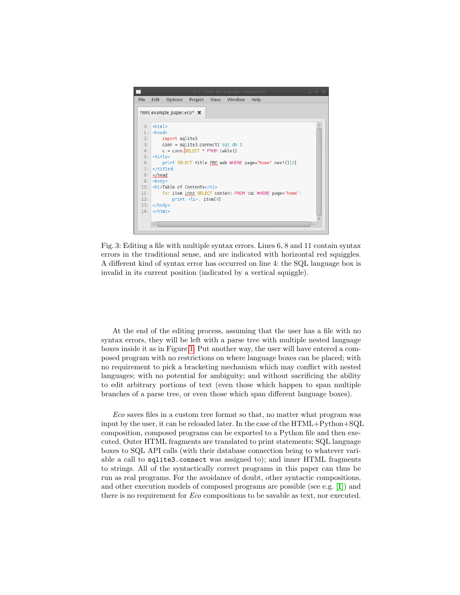<span id="page-4-0"></span>

Fig. 3: Editing a file with multiple syntax errors. Lines 6, 8 and 11 contain syntax errors in the traditional sense, and are indicated with horizontal red squiggles. A different kind of syntax error has occurred on line 4: the SQL language box is invalid in its current position (indicated by a vertical squiggle).

At the end of the editing process, assuming that the user has a file with no syntax errors, they will be left with a parse tree with multiple nested language boxes inside it as in Figure [1.](#page-2-0) Put another way, the user will have entered a composed program with no restrictions on where language boxes can be placed; with no requirement to pick a bracketing mechanism which may conflict with nested languages; with no potential for ambiguity; and without sacrificing the ability to edit arbitrary portions of text (even those which happen to span multiple branches of a parse tree, or even those which span different language boxes).

Eco saves files in a custom tree format so that, no matter what program was input by the user, it can be reloaded later. In the case of the HTML+Python+SQL composition, composed programs can be exported to a Python file and then executed. Outer HTML fragments are translated to print statements; SQL language boxes to SQL API calls (with their database connection being to whatever variable a call to sqlite3.connect was assigned to); and inner HTML fragments to strings. All of the syntactically correct programs in this paper can thus be run as real programs. For the avoidance of doubt, other syntactic compositions, and other execution models of composed programs are possible (see e.g. [\[1\]](#page-18-0)) and there is no requirement for Eco compositions to be savable as text, nor executed.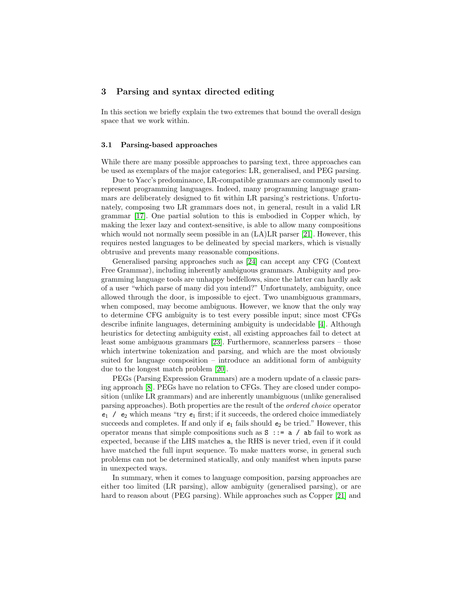# <span id="page-5-0"></span>3 Parsing and syntax directed editing

In this section we briefly explain the two extremes that bound the overall design space that we work within.

### 3.1 Parsing-based approaches

While there are many possible approaches to parsing text, three approaches can be used as exemplars of the major categories: LR, generalised, and PEG parsing.

Due to Yacc's predominance, LR-compatible grammars are commonly used to represent programming languages. Indeed, many programming language grammars are deliberately designed to fit within LR parsing's restrictions. Unfortunately, composing two LR grammars does not, in general, result in a valid LR grammar [\[17\]](#page-19-5). One partial solution to this is embodied in Copper which, by making the lexer lazy and context-sensitive, is able to allow many compositions which would not normally seem possible in an  $(LA)LR$  parser [\[21\]](#page-19-6). However, this requires nested languages to be delineated by special markers, which is visually obtrusive and prevents many reasonable compositions.

Generalised parsing approaches such as [\[24\]](#page-19-7) can accept any CFG (Context Free Grammar), including inherently ambiguous grammars. Ambiguity and programming language tools are unhappy bedfellows, since the latter can hardly ask of a user "which parse of many did you intend?" Unfortunately, ambiguity, once allowed through the door, is impossible to eject. Two unambiguous grammars, when composed, may become ambiguous. However, we know that the only way to determine CFG ambiguity is to test every possible input; since most CFGs describe infinite languages, determining ambiguity is undecidable [\[4\]](#page-19-8). Although heuristics for detecting ambiguity exist, all existing approaches fail to detect at least some ambiguous grammars [\[23\]](#page-19-9). Furthermore, scannerless parsers – those which intertwine tokenization and parsing, and which are the most obviously suited for language composition – introduce an additional form of ambiguity due to the longest match problem [\[20\]](#page-19-10).

PEGs (Parsing Expression Grammars) are a modern update of a classic parsing approach [\[8\]](#page-19-11). PEGs have no relation to CFGs. They are closed under composition (unlike LR grammars) and are inherently unambiguous (unlike generalised parsing approaches). Both properties are the result of the ordered choice operator  $e_1$  /  $e_2$  which means "try  $e_1$  first; if it succeeds, the ordered choice immediately succeeds and completes. If and only if  $e_1$  fails should  $e_2$  be tried." However, this operator means that simple compositions such as  $S : := a / ab$  fail to work as expected, because if the LHS matches a, the RHS is never tried, even if it could have matched the full input sequence. To make matters worse, in general such problems can not be determined statically, and only manifest when inputs parse in unexpected ways.

In summary, when it comes to language composition, parsing approaches are either too limited (LR parsing), allow ambiguity (generalised parsing), or are hard to reason about (PEG parsing). While approaches such as Copper [\[21\]](#page-19-6) and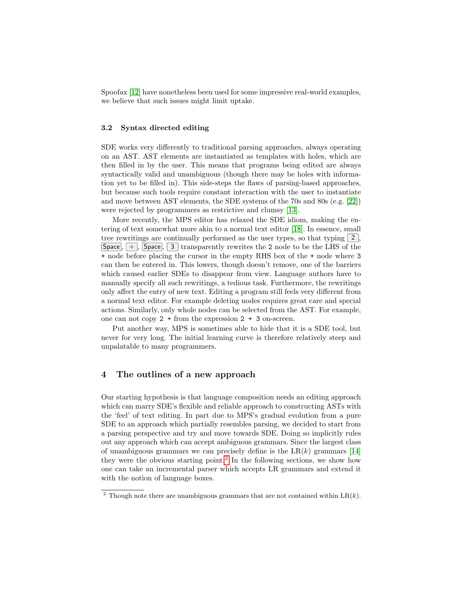Spoofax [\[12\]](#page-19-1) have nonetheless been used for some impressive real-world examples, we believe that such issues might limit uptake.

### 3.2 Syntax directed editing

SDE works very differently to traditional parsing approaches, always operating on an AST. AST elements are instantiated as templates with holes, which are then filled in by the user. This means that programs being edited are always syntactically valid and unambiguous (though there may be holes with information yet to be filled in). This side-steps the flaws of parsing-based approaches, but because such tools require constant interaction with the user to instantiate and move between AST elements, the SDE systems of the 70s and 80s (e.g. [\[22\]](#page-19-12)) were rejected by programmers as restrictive and clumsy [\[13\]](#page-19-0).

More recently, the MPS editor has relaxed the SDE idiom, making the entering of text somewhat more akin to a normal text editor [\[18\]](#page-19-2). In essence, small tree rewritings are continually performed as the user types, so that typing  $\boxed{2}$ . Space,  $[+]$ , Space,  $[3]$  transparently rewrites the 2 node to be the LHS of the + node before placing the cursor in the empty RHS box of the + node where 3 can then be entered in. This lowers, though doesn't remove, one of the barriers which caused earlier SDEs to disappear from view. Language authors have to manually specify all such rewritings, a tedious task. Furthermore, the rewritings only affect the entry of new text. Editing a program still feels very different from a normal text editor. For example deleting nodes requires great care and special actions. Similarly, only whole nodes can be selected from the AST. For example, one can not copy 2 + from the expression 2 + 3 on-screen.

Put another way, MPS is sometimes able to hide that it is a SDE tool, but never for very long. The initial learning curve is therefore relatively steep and unpalatable to many programmers.

# 4 The outlines of a new approach

Our starting hypothesis is that language composition needs an editing approach which can marry SDE's flexible and reliable approach to constructing ASTs with the 'feel' of text editing. In part due to MPS's gradual evolution from a pure SDE to an approach which partially resembles parsing, we decided to start from a parsing perspective and try and move towards SDE. Doing so implicitly rules out any approach which can accept ambiguous grammars. Since the largest class of unambiguous grammars we can precisely define is the  $LR(k)$  grammars [\[14\]](#page-19-13) they were the obvious starting point.<sup>[2](#page-6-0)</sup> In the following sections, we show how one can take an incremental parser which accepts LR grammars and extend it with the notion of language boxes.

<span id="page-6-0"></span><sup>&</sup>lt;sup>2</sup> Though note there are unambiguous grammars that are not contained within  $LR(k)$ .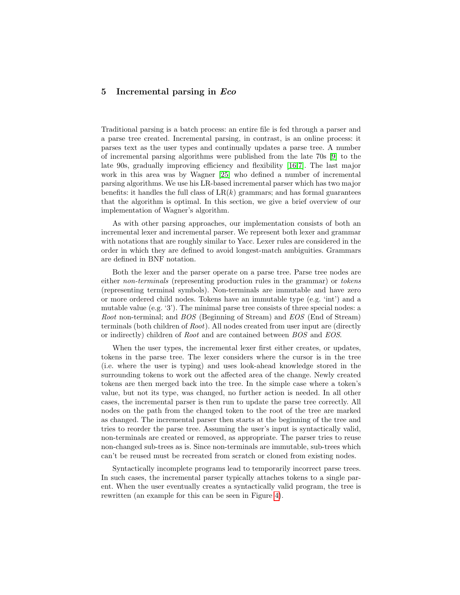# <span id="page-7-0"></span>5 Incremental parsing in Eco

Traditional parsing is a batch process: an entire file is fed through a parser and a parse tree created. Incremental parsing, in contrast, is an online process: it parses text as the user types and continually updates a parse tree. A number of incremental parsing algorithms were published from the late 70s [\[9\]](#page-19-14) to the late 90s, gradually improving efficiency and flexibility [\[16](#page-19-15)[,7\]](#page-19-16). The last major work in this area was by Wagner [\[25\]](#page-19-17) who defined a number of incremental parsing algorithms. We use his LR-based incremental parser which has two major benefits: it handles the full class of  $LR(k)$  grammars; and has formal guarantees that the algorithm is optimal. In this section, we give a brief overview of our implementation of Wagner's algorithm.

As with other parsing approaches, our implementation consists of both an incremental lexer and incremental parser. We represent both lexer and grammar with notations that are roughly similar to Yacc. Lexer rules are considered in the order in which they are defined to avoid longest-match ambiguities. Grammars are defined in BNF notation.

Both the lexer and the parser operate on a parse tree. Parse tree nodes are either non-terminals (representing production rules in the grammar) or tokens (representing terminal symbols). Non-terminals are immutable and have zero or more ordered child nodes. Tokens have an immutable type (e.g. 'int') and a mutable value (e.g. '3'). The minimal parse tree consists of three special nodes: a Root non-terminal; and BOS (Beginning of Stream) and EOS (End of Stream) terminals (both children of Root). All nodes created from user input are (directly or indirectly) children of Root and are contained between BOS and EOS.

When the user types, the incremental lexer first either creates, or updates, tokens in the parse tree. The lexer considers where the cursor is in the tree (i.e. where the user is typing) and uses look-ahead knowledge stored in the surrounding tokens to work out the affected area of the change. Newly created tokens are then merged back into the tree. In the simple case where a token's value, but not its type, was changed, no further action is needed. In all other cases, the incremental parser is then run to update the parse tree correctly. All nodes on the path from the changed token to the root of the tree are marked as changed. The incremental parser then starts at the beginning of the tree and tries to reorder the parse tree. Assuming the user's input is syntactically valid, non-terminals are created or removed, as appropriate. The parser tries to reuse non-changed sub-trees as is. Since non-terminals are immutable, sub-trees which can't be reused must be recreated from scratch or cloned from existing nodes.

Syntactically incomplete programs lead to temporarily incorrect parse trees. In such cases, the incremental parser typically attaches tokens to a single parent. When the user eventually creates a syntactically valid program, the tree is rewritten (an example for this can be seen in Figure [4\)](#page-8-0).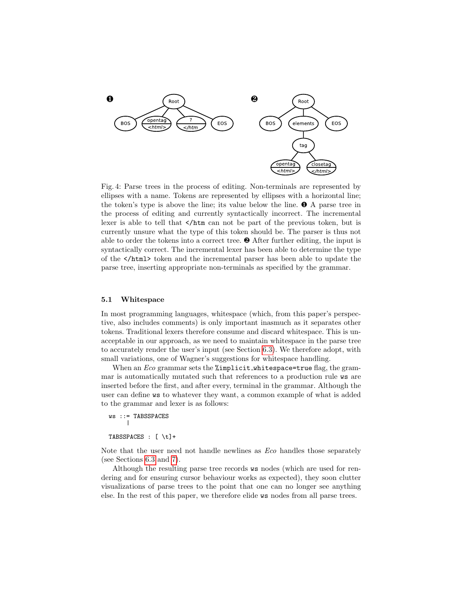<span id="page-8-0"></span>

Fig. 4: Parse trees in the process of editing. Non-terminals are represented by ellipses with a name. Tokens are represented by ellipses with a horizontal line; the token's type is above the line; its value below the line.  $\bullet$  A parse tree in the process of editing and currently syntactically incorrect. The incremental lexer is able to tell that </htm can not be part of the previous token, but is currently unsure what the type of this token should be. The parser is thus not able to order the tokens into a correct tree. ❷ After further editing, the input is syntactically correct. The incremental lexer has been able to determine the type of the </html> token and the incremental parser has been able to update the parse tree, inserting appropriate non-terminals as specified by the grammar.

### <span id="page-8-1"></span>5.1 Whitespace

In most programming languages, whitespace (which, from this paper's perspective, also includes comments) is only important inasmuch as it separates other tokens. Traditional lexers therefore consume and discard whitespace. This is unacceptable in our approach, as we need to maintain whitespace in the parse tree to accurately render the user's input (see Section [6.3\)](#page-10-0). We therefore adopt, with small variations, one of Wagner's suggestions for whitespace handling.

When an  $Eco$  grammar sets the %implicit\_whitespace=true flag, the grammar is automatically mutated such that references to a production rule ws are inserted before the first, and after every, terminal in the grammar. Although the user can define ws to whatever they want, a common example of what is added to the grammar and lexer is as follows:

ws ::= TABSSPACES  $\blacksquare$ 

TABSSPACES : [ \t]+

Note that the user need not handle newlines as Eco handles those separately (see Sections [6.3](#page-10-0) and [7\)](#page-12-0).

Although the resulting parse tree records ws nodes (which are used for rendering and for ensuring cursor behaviour works as expected), they soon clutter visualizations of parse trees to the point that one can no longer see anything else. In the rest of this paper, we therefore elide ws nodes from all parse trees.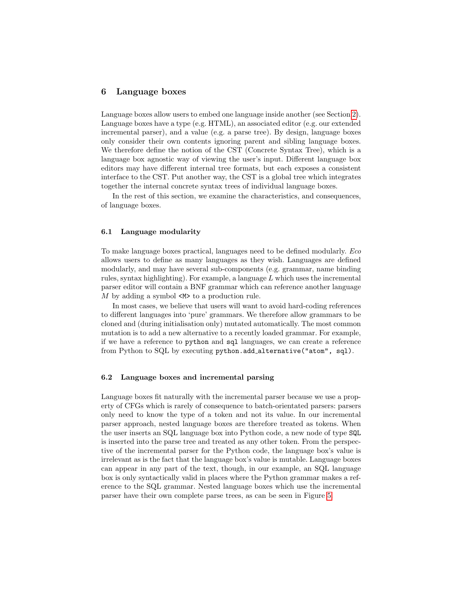## <span id="page-9-0"></span>6 Language boxes

Language boxes allow users to embed one language inside another (see Section [2\)](#page-1-0). Language boxes have a type (e.g. HTML), an associated editor (e.g. our extended incremental parser), and a value (e.g. a parse tree). By design, language boxes only consider their own contents ignoring parent and sibling language boxes. We therefore define the notion of the CST (Concrete Syntax Tree), which is a language box agnostic way of viewing the user's input. Different language box editors may have different internal tree formats, but each exposes a consistent interface to the CST. Put another way, the CST is a global tree which integrates together the internal concrete syntax trees of individual language boxes.

In the rest of this section, we examine the characteristics, and consequences, of language boxes.

### 6.1 Language modularity

To make language boxes practical, languages need to be defined modularly. Eco allows users to define as many languages as they wish. Languages are defined modularly, and may have several sub-components (e.g. grammar, name binding rules, syntax highlighting). For example, a language  $L$  which uses the incremental parser editor will contain a BNF grammar which can reference another language  $M$  by adding a symbol  $\leq M$  to a production rule.

In most cases, we believe that users will want to avoid hard-coding references to different languages into 'pure' grammars. We therefore allow grammars to be cloned and (during initialisation only) mutated automatically. The most common mutation is to add a new alternative to a recently loaded grammar. For example, if we have a reference to python and sql languages, we can create a reference from Python to SQL by executing python.add\_alternative("atom", sql).

### 6.2 Language boxes and incremental parsing

Language boxes fit naturally with the incremental parser because we use a property of CFGs which is rarely of consequence to batch-orientated parsers: parsers only need to know the type of a token and not its value. In our incremental parser approach, nested language boxes are therefore treated as tokens. When the user inserts an SQL language box into Python code, a new node of type SQL is inserted into the parse tree and treated as any other token. From the perspective of the incremental parser for the Python code, the language box's value is irrelevant as is the fact that the language box's value is mutable. Language boxes can appear in any part of the text, though, in our example, an SQL language box is only syntactically valid in places where the Python grammar makes a reference to the SQL grammar. Nested language boxes which use the incremental parser have their own complete parse trees, as can be seen in Figure [5.](#page-10-1)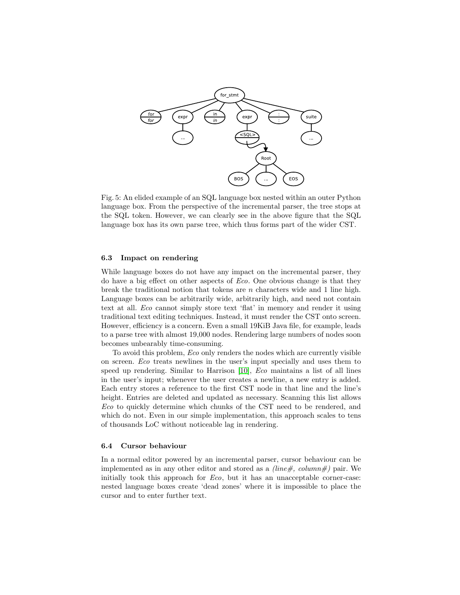<span id="page-10-1"></span>

Fig. 5: An elided example of an SQL language box nested within an outer Python language box. From the perspective of the incremental parser, the tree stops at the SQL token. However, we can clearly see in the above figure that the SQL language box has its own parse tree, which thus forms part of the wider CST.

#### <span id="page-10-0"></span>6.3 Impact on rendering

While language boxes do not have any impact on the incremental parser, they do have a big effect on other aspects of Eco. One obvious change is that they break the traditional notion that tokens are  $n$  characters wide and 1 line high. Language boxes can be arbitrarily wide, arbitrarily high, and need not contain text at all. Eco cannot simply store text 'flat' in memory and render it using traditional text editing techniques. Instead, it must render the CST onto screen. However, efficiency is a concern. Even a small 19KiB Java file, for example, leads to a parse tree with almost 19,000 nodes. Rendering large numbers of nodes soon becomes unbearably time-consuming.

To avoid this problem, Eco only renders the nodes which are currently visible on screen. Eco treats newlines in the user's input specially and uses them to speed up rendering. Similar to Harrison [\[10\]](#page-19-18), Eco maintains a list of all lines in the user's input; whenever the user creates a newline, a new entry is added. Each entry stores a reference to the first CST node in that line and the line's height. Entries are deleted and updated as necessary. Scanning this list allows Eco to quickly determine which chunks of the CST need to be rendered, and which do not. Even in our simple implementation, this approach scales to tens of thousands LoC without noticeable lag in rendering.

#### 6.4 Cursor behaviour

In a normal editor powered by an incremental parser, cursor behaviour can be implemented as in any other editor and stored as a  $(line#, column#)$  pair. We initially took this approach for Eco, but it has an unacceptable corner-case: nested language boxes create 'dead zones' where it is impossible to place the cursor and to enter further text.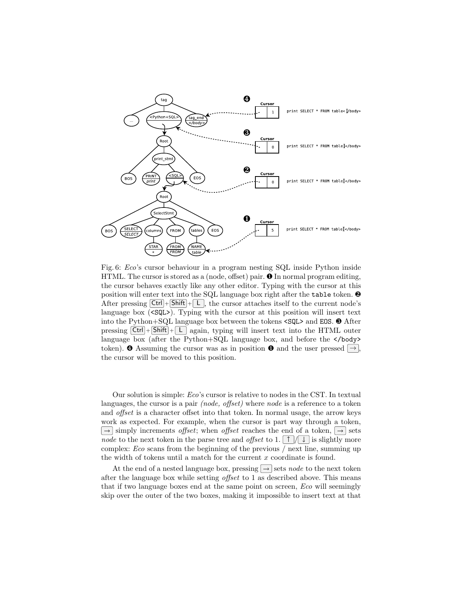<span id="page-11-0"></span>

Fig. 6: Eco's cursor behaviour in a program nesting SQL inside Python inside HTML. The cursor is stored as a (node, offset) pair.  $\bullet$  In normal program editing, the cursor behaves exactly like any other editor. Typing with the cursor at this position will enter text into the SQL language box right after the table token. ❷ After pressing  $\lfloor$  Ctrl  $\rfloor$   $\rfloor$  Shift  $\rfloor$   $\vdash$  L  $\rfloor$ , the cursor attaches itself to the current node's language box ( $\langle \text{SQL}\rangle$ ). Typing with the cursor at this position will insert text into the Python+SQL language box between the tokens  $\texttt{}$  and  $\texttt{EOS}.$   $\textbf{\textcircled{\char'134}th}$  After pressing  $[Ctr] + [Shift] + [L]$  again, typing will insert text into the HTML outer language box (after the Python+SQL language box, and before the  $\langle \text{body} \rangle$ token).  $\bullet$  Assuming the cursor was as in position  $\bullet$  and the user pressed  $\rightarrow$ the cursor will be moved to this position.

Our solution is simple: Eco's cursor is relative to nodes in the CST. In textual languages, the cursor is a pair *(node, offset)* where *node* is a reference to a token and offset is a character offset into that token. In normal usage, the arrow keys work as expected. For example, when the cursor is part way through a token,  $\Box$  simply increments offset; when offset reaches the end of a token,  $\Box$  sets node to the next token in the parse tree and offset to 1.  $\lceil \uparrow \rceil / \lceil \downarrow \rceil$  is slightly more complex: Eco scans from the beginning of the previous / next line, summing up the width of tokens until a match for the current  $x$  coordinate is found.

At the end of a nested language box, pressing  $\rightarrow$  sets node to the next token after the language box while setting offset to 1 as described above. This means that if two language boxes end at the same point on screen, Eco will seemingly skip over the outer of the two boxes, making it impossible to insert text at that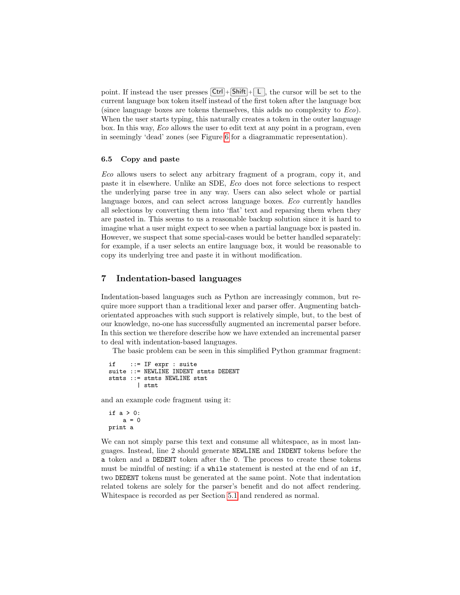point. If instead the user presses  $\boxed{\text{Ctrl}} + \boxed{\text{Shift}} + \boxed{\text{L}}$ , the cursor will be set to the current language box token itself instead of the first token after the language box (since language boxes are tokens themselves, this adds no complexity to Eco). When the user starts typing, this naturally creates a token in the outer language box. In this way, Eco allows the user to edit text at any point in a program, even in seemingly 'dead' zones (see Figure [6](#page-11-0) for a diagrammatic representation).

### 6.5 Copy and paste

Eco allows users to select any arbitrary fragment of a program, copy it, and paste it in elsewhere. Unlike an SDE, Eco does not force selections to respect the underlying parse tree in any way. Users can also select whole or partial language boxes, and can select across language boxes. Eco currently handles all selections by converting them into 'flat' text and reparsing them when they are pasted in. This seems to us a reasonable backup solution since it is hard to imagine what a user might expect to see when a partial language box is pasted in. However, we suspect that some special-cases would be better handled separately: for example, if a user selects an entire language box, it would be reasonable to copy its underlying tree and paste it in without modification.

# <span id="page-12-0"></span>7 Indentation-based languages

Indentation-based languages such as Python are increasingly common, but require more support than a traditional lexer and parser offer. Augmenting batchorientated approaches with such support is relatively simple, but, to the best of our knowledge, no-one has successfully augmented an incremental parser before. In this section we therefore describe how we have extended an incremental parser to deal with indentation-based languages.

The basic problem can be seen in this simplified Python grammar fragment:

```
if ::= IF expr : suite
suite ::= NEWLINE INDENT stmts DEDENT
stmts ::= stmts NEWLINE stmt
       | stmt
```
and an example code fragment using it:

```
if a > 0:
    a = 0print a
```
We can not simply parse this text and consume all whitespace, as in most languages. Instead, line 2 should generate NEWLINE and INDENT tokens before the a token and a DEDENT token after the 0. The process to create these tokens must be mindful of nesting: if a while statement is nested at the end of an if, two DEDENT tokens must be generated at the same point. Note that indentation related tokens are solely for the parser's benefit and do not affect rendering. Whitespace is recorded as per Section [5.1](#page-8-1) and rendered as normal.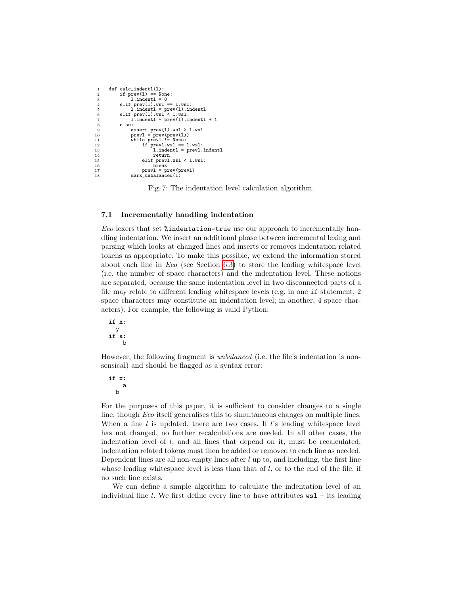```
1 def calc_indentl(1):<br>2 if prev(1) == No
 2 if prev(l) == None:
3 l.indentl = 0
 4 elif prev(l).wsl == l.wsl:
5 l.indentl = prev(l).indentl
6 elif prev(l).wsl < l.wsl:
7 \t 1.indent1 = prev(1).indent1 + 18 else:<br>9 a
9 assert prev(l).wsl > l.wsl<br>
10 prevl = prev(prev(l))<br>
11 while prevl != None:<br>
12 if prevl.wsl == l.wsl:<br>
11 indentl = prevl.indentl<br>
14 return
15 elif prevl.wsl < 1.wsl:<br>16 break
16 break<br>17 prev1 = pi
17 prevl = prev(prevl)<br>
18 mark unbalanced(1)
                    mark unbalanced(1)
```
Fig. 7: The indentation level calculation algorithm.

#### 7.1 Incrementally handling indentation

Eco lexers that set %indentation=true use our approach to incrementally handling indentation. We insert an additional phase between incremental lexing and parsing which looks at changed lines and inserts or removes indentation related tokens as appropriate. To make this possible, we extend the information stored about each line in Eco (see Section [6.3\)](#page-10-0) to store the leading whitespace level (i.e. the number of space characters) and the indentation level. These notions are separated, because the same indentation level in two disconnected parts of a file may relate to different leading whitespace levels (e.g. in one if statement, 2 space characters may constitute an indentation level; in another, 4 space characters). For example, the following is valid Python:

if x: y if a: b

However, the following fragment is *unbalanced* (i.e. the file's indentation is nonsensical) and should be flagged as a syntax error:

if x: a b

For the purposes of this paper, it is sufficient to consider changes to a single line, though Eco itself generalises this to simultaneous changes on multiple lines. When a line  $l$  is updated, there are two cases. If  $l$ 's leading whitespace level has not changed, no further recalculations are needed. In all other cases, the indentation level of l, and all lines that depend on it, must be recalculated; indentation related tokens must then be added or removed to each line as needed. Dependent lines are all non-empty lines after  $l$  up to, and including, the first line whose leading whitespace level is less than that of  $l$ , or to the end of the file, if no such line exists.

We can define a simple algorithm to calculate the indentation level of an individual line l. We first define every line to have attributes  $ws1 - its$  leading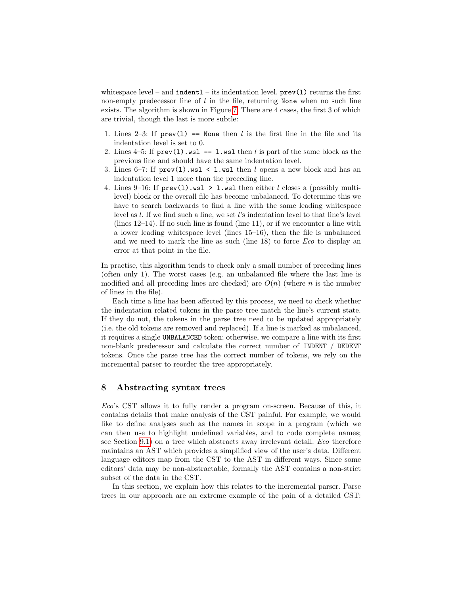whitespace level – and indentl – its indentation level.  $prev(1)$  returns the first non-empty predecessor line of  $l$  in the file, returning None when no such line exists. The algorithm is shown in Figure [7.](#page-13-0) There are 4 cases, the first 3 of which are trivial, though the last is more subtle:

- 1. Lines 2-3: If prev(1) == None then l is the first line in the file and its indentation level is set to 0.
- 2. Lines  $4-5$ : If  $prev(1)$ .wsl == 1.wsl then l is part of the same block as the previous line and should have the same indentation level.
- 3. Lines 6–7: If  $prev(1) wsl < 1 wsl$  then l opens a new block and has an indentation level 1 more than the preceding line.
- 4. Lines 9–16: If  $prev(1)$ .wsl > 1.wsl then either l closes a (possibly multilevel) block or the overall file has become unbalanced. To determine this we have to search backwards to find a line with the same leading whitespace level as l. If we find such a line, we set l's indentation level to that line's level (lines 12–14). If no such line is found (line 11), or if we encounter a line with a lower leading whitespace level (lines 15–16), then the file is unbalanced and we need to mark the line as such (line 18) to force Eco to display an error at that point in the file.

In practise, this algorithm tends to check only a small number of preceding lines (often only 1). The worst cases (e.g. an unbalanced file where the last line is modified and all preceding lines are checked) are  $O(n)$  (where n is the number of lines in the file).

Each time a line has been affected by this process, we need to check whether the indentation related tokens in the parse tree match the line's current state. If they do not, the tokens in the parse tree need to be updated appropriately (i.e. the old tokens are removed and replaced). If a line is marked as unbalanced, it requires a single UNBALANCED token; otherwise, we compare a line with its first non-blank predecessor and calculate the correct number of INDENT / DEDENT tokens. Once the parse tree has the correct number of tokens, we rely on the incremental parser to reorder the tree appropriately.

### <span id="page-14-0"></span>8 Abstracting syntax trees

Eco's CST allows it to fully render a program on-screen. Because of this, it contains details that make analysis of the CST painful. For example, we would like to define analyses such as the names in scope in a program (which we can then use to highlight undefined variables, and to code complete names; see Section [9.1\)](#page-17-1) on a tree which abstracts away irrelevant detail. Eco therefore maintains an AST which provides a simplified view of the user's data. Different language editors map from the CST to the AST in different ways. Since some editors' data may be non-abstractable, formally the AST contains a non-strict subset of the data in the CST.

In this section, we explain how this relates to the incremental parser. Parse trees in our approach are an extreme example of the pain of a detailed CST: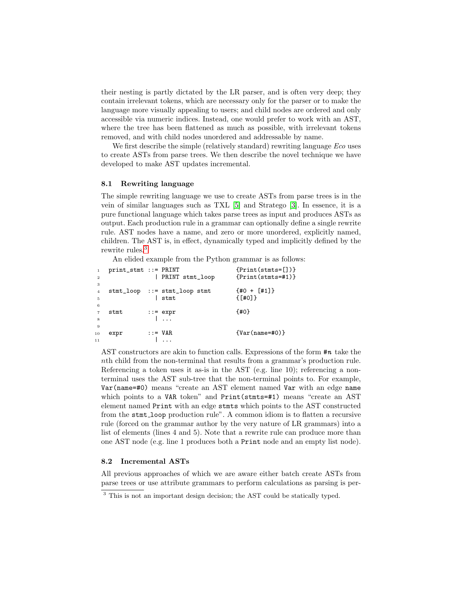their nesting is partly dictated by the LR parser, and is often very deep; they contain irrelevant tokens, which are necessary only for the parser or to make the language more visually appealing to users; and child nodes are ordered and only accessible via numeric indices. Instead, one would prefer to work with an AST, where the tree has been flattened as much as possible, with irrelevant tokens removed, and with child nodes unordered and addressable by name.

We first describe the simple (relatively standard) rewriting language *Eco* uses to create ASTs from parse trees. We then describe the novel technique we have developed to make AST updates incremental.

#### 8.1 Rewriting language

The simple rewriting language we use to create ASTs from parse trees is in the vein of similar languages such as TXL [\[5\]](#page-19-19) and Stratego [\[3\]](#page-19-20). In essence, it is a pure functional language which takes parse trees as input and produces ASTs as output. Each production rule in a grammar can optionally define a single rewrite rule. AST nodes have a name, and zero or more unordered, explicitly named, children. The AST is, in effect, dynamically typed and implicitly defined by the rewrite rules.[3](#page-15-0)

An elided example from the Python grammar is as follows:

| $\overline{2}$           | $print\_stmt :: = PRINT$ | PRINT stmt_loop                            | $\{Print(stants = [])\}$<br>$\{Print(stmts=#1)\}$ |
|--------------------------|--------------------------|--------------------------------------------|---------------------------------------------------|
| 3<br>$\overline{4}$<br>5 |                          | $stmt\_loop$ ::= $stmt\_loop$ stmt<br>stmt | ${40 + [11]}$<br>${F(1, 0)}$                      |
| 6<br>8                   | stmt                     | $\therefore$ = expr $  \dots$              | ${40}$                                            |
| 9<br>10<br>11            | expr                     | $: :=$ VAR                                 | $\{Var(name=\#0)\}$                               |

AST constructors are akin to function calls. Expressions of the form  $\#n$  take the nth child from the non-terminal that results from a grammar's production rule. Referencing a token uses it as-is in the AST (e.g. line 10); referencing a nonterminal uses the AST sub-tree that the non-terminal points to. For example, Var(name=#0) means "create an AST element named Var with an edge name which points to a VAR token" and Print(stmts=#1) means "create an AST element named Print with an edge stmts which points to the AST constructed from the stmt loop production rule". A common idiom is to flatten a recursive rule (forced on the grammar author by the very nature of LR grammars) into a list of elements (lines 4 and 5). Note that a rewrite rule can produce more than one AST node (e.g. line 1 produces both a Print node and an empty list node).

#### 8.2 Incremental ASTs

All previous approaches of which we are aware either batch create ASTs from parse trees or use attribute grammars to perform calculations as parsing is per-

<span id="page-15-0"></span><sup>&</sup>lt;sup>3</sup> This is not an important design decision; the AST could be statically typed.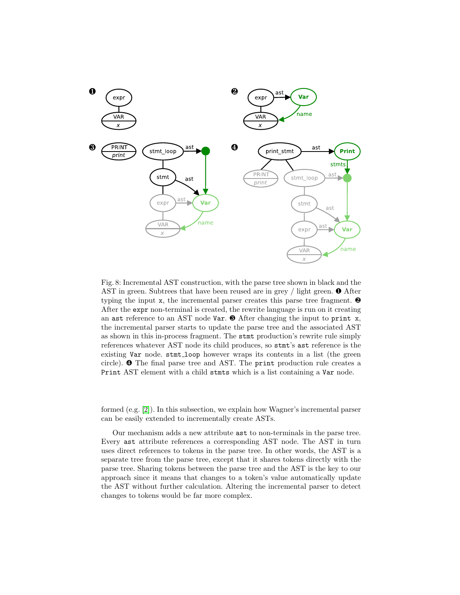<span id="page-16-0"></span>

Fig. 8: Incremental AST construction, with the parse tree shown in black and the AST in green. Subtrees that have been reused are in grey  $\ell$  light green.  $\bullet$  After typing the input x, the incremental parser creates this parse tree fragment. ❷ After the expr non-terminal is created, the rewrite language is run on it creating an ast reference to an AST node Var.  $\bullet$  After changing the input to print x, the incremental parser starts to update the parse tree and the associated AST as shown in this in-process fragment. The stmt production's rewrite rule simply references whatever AST node its child produces, so stmt's ast reference is the existing Var node. stmt\_loop however wraps its contents in a list (the green circle). ❹ The final parse tree and AST. The print production rule creates a Print AST element with a child stmts which is a list containing a Var node.

formed (e.g. [\[2\]](#page-19-21)). In this subsection, we explain how Wagner's incremental parser can be easily extended to incrementally create ASTs.

Our mechanism adds a new attribute ast to non-terminals in the parse tree. Every ast attribute references a corresponding AST node. The AST in turn uses direct references to tokens in the parse tree. In other words, the AST is a separate tree from the parse tree, except that it shares tokens directly with the parse tree. Sharing tokens between the parse tree and the AST is the key to our approach since it means that changes to a token's value automatically update the AST without further calculation. Altering the incremental parser to detect changes to tokens would be far more complex.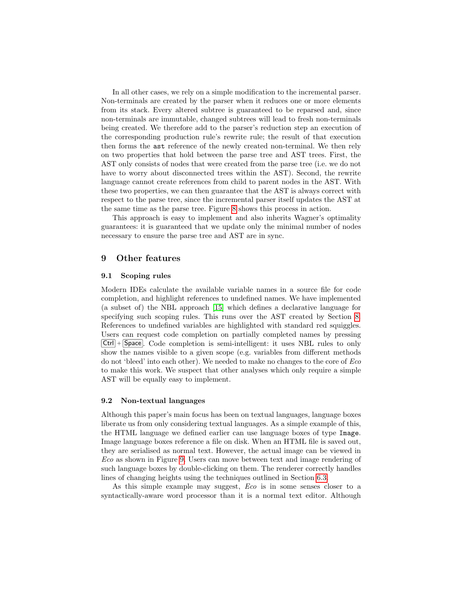In all other cases, we rely on a simple modification to the incremental parser. Non-terminals are created by the parser when it reduces one or more elements from its stack. Every altered subtree is guaranteed to be reparsed and, since non-terminals are immutable, changed subtrees will lead to fresh non-terminals being created. We therefore add to the parser's reduction step an execution of the corresponding production rule's rewrite rule; the result of that execution then forms the ast reference of the newly created non-terminal. We then rely on two properties that hold between the parse tree and AST trees. First, the AST only consists of nodes that were created from the parse tree (i.e. we do not have to worry about disconnected trees within the AST). Second, the rewrite language cannot create references from child to parent nodes in the AST. With these two properties, we can then guarantee that the AST is always correct with respect to the parse tree, since the incremental parser itself updates the AST at the same time as the parse tree. Figure [8](#page-16-0) shows this process in action.

This approach is easy to implement and also inherits Wagner's optimality guarantees: it is guaranteed that we update only the minimal number of nodes necessary to ensure the parse tree and AST are in sync.

# <span id="page-17-0"></span>9 Other features

### <span id="page-17-1"></span>9.1 Scoping rules

Modern IDEs calculate the available variable names in a source file for code completion, and highlight references to undefined names. We have implemented (a subset of) the NBL approach [\[15\]](#page-19-22) which defines a declarative language for specifying such scoping rules. This runs over the AST created by Section [8.](#page-14-0) References to undefined variables are highlighted with standard red squiggles. Users can request code completion on partially completed names by pressing  $|Ctrl| + | Space|$ . Code completion is semi-intelligent: it uses NBL rules to only show the names visible to a given scope (e.g. variables from different methods do not 'bleed' into each other). We needed to make no changes to the core of Eco to make this work. We suspect that other analyses which only require a simple AST will be equally easy to implement.

### 9.2 Non-textual languages

Although this paper's main focus has been on textual languages, language boxes liberate us from only considering textual languages. As a simple example of this, the HTML language we defined earlier can use language boxes of type Image. Image language boxes reference a file on disk. When an HTML file is saved out, they are serialised as normal text. However, the actual image can be viewed in Eco as shown in Figure [9.](#page-18-1) Users can move between text and image rendering of such language boxes by double-clicking on them. The renderer correctly handles lines of changing heights using the techniques outlined in Section [6.3.](#page-10-0)

As this simple example may suggest, Eco is in some senses closer to a syntactically-aware word processor than it is a normal text editor. Although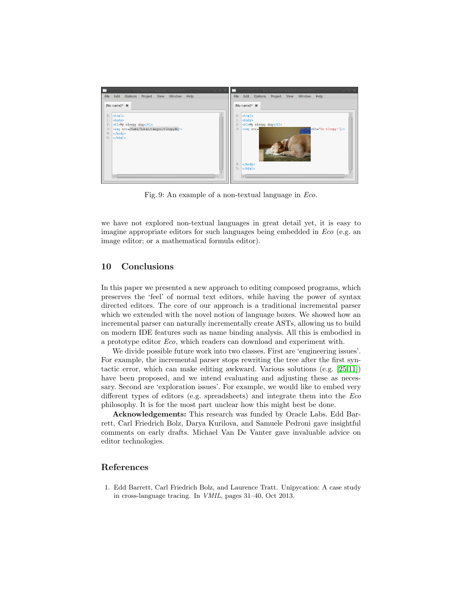<span id="page-18-1"></span>

Fig. 9: An example of a non-textual language in Eco.

we have not explored non-textual languages in great detail yet, it is easy to imagine appropriate editors for such languages being embedded in Eco (e.g. an image editor; or a mathematical formula editor).

# 10 Conclusions

In this paper we presented a new approach to editing composed programs, which preserves the 'feel' of normal text editors, while having the power of syntax directed editors. The core of our approach is a traditional incremental parser which we extended with the novel notion of language boxes. We showed how an incremental parser can naturally incrementally create ASTs, allowing us to build on modern IDE features such as name binding analysis. All this is embodied in a prototype editor Eco, which readers can download and experiment with.

We divide possible future work into two classes. First are 'engineering issues'. For example, the incremental parser stops rewriting the tree after the first syntactic error, which can make editing awkward. Various solutions (e.g. [\[25,](#page-19-17)[11\]](#page-19-23)) have been proposed, and we intend evaluating and adjusting these as necessary. Second are 'exploration issues'. For example, we would like to embed very different types of editors (e.g. spreadsheets) and integrate them into the Eco philosophy. It is for the most part unclear how this might best be done.

Acknowledgements: This research was funded by Oracle Labs. Edd Barrett, Carl Friedrich Bolz, Darya Kurilova, and Samuele Pedroni gave insightful comments on early drafts. Michael Van De Vanter gave invaluable advice on editor technologies.

# References

<span id="page-18-0"></span>1. Edd Barrett, Carl Friedrich Bolz, and Laurence Tratt. Unipycation: A case study in cross-language tracing. In VMIL, pages 31–40, Oct 2013.